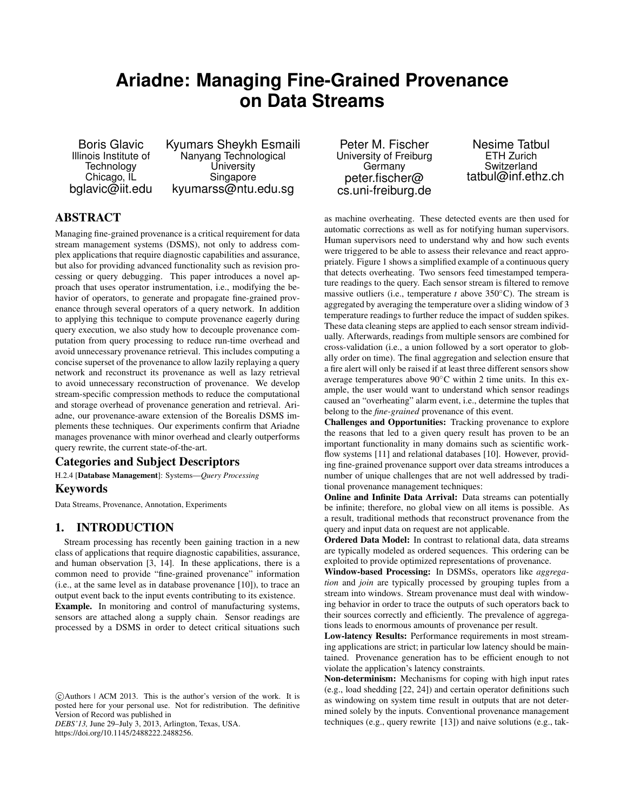# **Ariadne: Managing Fine-Grained Provenance on Data Streams**

Boris Glavic Illinois Institute of **Technology** Chicago, IL bglavic@iit.edu Kyumars Sheykh Esmaili Nanyang Technological **University** Singapore kyumarss@ntu.edu.sg

# ABSTRACT

Managing fine-grained provenance is a critical requirement for data stream management systems (DSMS), not only to address complex applications that require diagnostic capabilities and assurance, but also for providing advanced functionality such as revision processing or query debugging. This paper introduces a novel approach that uses operator instrumentation, i.e., modifying the behavior of operators, to generate and propagate fine-grained provenance through several operators of a query network. In addition to applying this technique to compute provenance eagerly during query execution, we also study how to decouple provenance computation from query processing to reduce run-time overhead and avoid unnecessary provenance retrieval. This includes computing a concise superset of the provenance to allow lazily replaying a query network and reconstruct its provenance as well as lazy retrieval to avoid unnecessary reconstruction of provenance. We develop stream-specific compression methods to reduce the computational and storage overhead of provenance generation and retrieval. Ariadne, our provenance-aware extension of the Borealis DSMS implements these techniques. Our experiments confirm that Ariadne manages provenance with minor overhead and clearly outperforms query rewrite, the current state-of-the-art.

#### Categories and Subject Descriptors

H.2.4 [Database Management]: Systems—*Query Processing*

#### Keywords

Data Streams, Provenance, Annotation, Experiments

### 1. INTRODUCTION

Stream processing has recently been gaining traction in a new class of applications that require diagnostic capabilities, assurance, and human observation [3, 14]. In these applications, there is a common need to provide "fine-grained provenance" information (i.e., at the same level as in database provenance [10]), to trace an output event back to the input events contributing to its existence. Example. In monitoring and control of manufacturing systems, sensors are attached along a supply chain. Sensor readings are processed by a DSMS in order to detect critical situations such

 c Authors | ACM 2013. This is the author's version of the work. It is posted here for your personal use. Not for redistribution. The definitive Version of Record was published in

*DEBS'13,* June 29–July 3, 2013, Arlington, Texas, USA.

https://doi.org/10.1145/2488222.2488256.

Peter M. Fischer University of Freiburg Germany peter.fischer@ cs.uni-freiburg.de

Nesime Tatbul ETH Zurich Switzerland tatbul@inf.ethz.ch

as machine overheating. These detected events are then used for automatic corrections as well as for notifying human supervisors. Human supervisors need to understand why and how such events were triggered to be able to assess their relevance and react appropriately. Figure 1 shows a simplified example of a continuous query that detects overheating. Two sensors feed timestamped temperature readings to the query. Each sensor stream is filtered to remove massive outliers (i.e., temperature  $t$  above 350 $^{\circ}$ C). The stream is aggregated by averaging the temperature over a sliding window of 3 temperature readings to further reduce the impact of sudden spikes. These data cleaning steps are applied to each sensor stream individually. Afterwards, readings from multiple sensors are combined for cross-validation (i.e., a union followed by a sort operator to globally order on time). The final aggregation and selection ensure that a fire alert will only be raised if at least three different sensors show average temperatures above 90◦C within 2 time units. In this example, the user would want to understand which sensor readings caused an "overheating" alarm event, i.e., determine the tuples that belong to the *fine-grained* provenance of this event.

Challenges and Opportunities: Tracking provenance to explore the reasons that led to a given query result has proven to be an important functionality in many domains such as scientific workflow systems [11] and relational databases [10]. However, providing fine-grained provenance support over data streams introduces a number of unique challenges that are not well addressed by traditional provenance management techniques:

Online and Infinite Data Arrival: Data streams can potentially be infinite; therefore, no global view on all items is possible. As a result, traditional methods that reconstruct provenance from the query and input data on request are not applicable.

Ordered Data Model: In contrast to relational data, data streams are typically modeled as ordered sequences. This ordering can be exploited to provide optimized representations of provenance.

Window-based Processing: In DSMSs, operators like *aggregation* and *join* are typically processed by grouping tuples from a stream into windows. Stream provenance must deal with windowing behavior in order to trace the outputs of such operators back to their sources correctly and efficiently. The prevalence of aggregations leads to enormous amounts of provenance per result.

Low-latency Results: Performance requirements in most streaming applications are strict; in particular low latency should be maintained. Provenance generation has to be efficient enough to not violate the application's latency constraints.

Non-determinism: Mechanisms for coping with high input rates (e.g., load shedding [22, 24]) and certain operator definitions such as windowing on system time result in outputs that are not determined solely by the inputs. Conventional provenance management techniques (e.g., query rewrite [13]) and naive solutions (e.g., tak-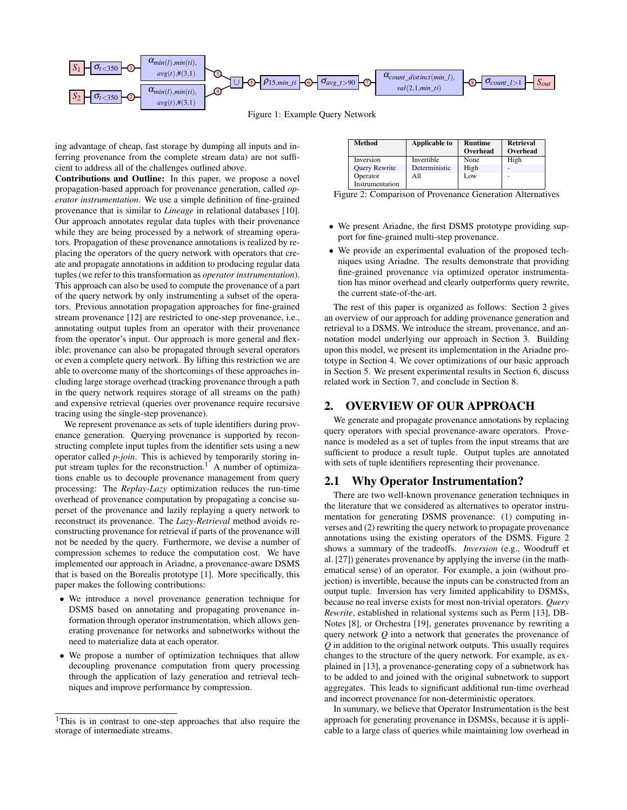

Figure 1: Example Query Network

ing advantage of cheap, fast storage by dumping all inputs and inferring provenance from the complete stream data) are not sufficient to address all of the challenges outlined above.

Contributions and Outline: In this paper, we propose a novel propagation-based approach for provenance generation, called *operator instrumentation*. We use a simple definition of fine-grained provenance that is similar to *Lineage* in relational databases [10]. Our approach annotates regular data tuples with their provenance while they are being processed by a network of streaming operators. Propagation of these provenance annotations is realized by replacing the operators of the query network with operators that create and propagate annotations in addition to producing regular data tuples (we refer to this transformation as *operator instrumentation*). This approach can also be used to compute the provenance of a part of the query network by only instrumenting a subset of the operators. Previous annotation propagation approaches for fine-grained stream provenance [12] are restricted to one-step provenance, i.e., annotating output tuples from an operator with their provenance from the operator's input. Our approach is more general and flexible; provenance can also be propagated through several operators or even a complete query network. By lifting this restriction we are able to overcome many of the shortcomings of these approaches including large storage overhead (tracking provenance through a path in the query network requires storage of all streams on the path) and expensive retrieval (queries over provenance require recursive tracing using the single-step provenance).

We represent provenance as sets of tuple identifiers during provenance generation. Querying provenance is supported by reconstructing complete input tuples from the identifier sets using a new operator called *p-join*. This is achieved by temporarily storing input stream tuples for the reconstruction.<sup>1</sup> A number of optimizations enable us to decouple provenance management from query processing: The *Replay-Lazy* optimization reduces the run-time overhead of provenance computation by propagating a concise superset of the provenance and lazily replaying a query network to reconstruct its provenance. The *Lazy-Retrieval* method avoids reconstructing provenance for retrieval if parts of the provenance will not be needed by the query. Furthermore, we devise a number of compression schemes to reduce the computation cost. We have implemented our approach in Ariadne, a provenance-aware DSMS that is based on the Borealis prototype [1]. More specifically, this paper makes the following contributions:

- We introduce a novel provenance generation technique for DSMS based on annotating and propagating provenance information through operator instrumentation, which allows generating provenance for networks and subnetworks without the need to materialize data at each operator.
- We propose a number of optimization techniques that allow decoupling provenance computation from query processing through the application of lazy generation and retrieval techniques and improve performance by compression.

| <b>Method</b>        | <b>Applicable to</b> | <b>Runtime</b><br>Overhead | <b>Retrieval</b><br>Overhead |  |
|----------------------|----------------------|----------------------------|------------------------------|--|
|                      |                      |                            |                              |  |
| Inversion            | Invertible           | None                       | High                         |  |
| <b>Ouery Rewrite</b> | Deterministic        | High                       |                              |  |
| Operator             | A11                  | Low                        |                              |  |
| Instrumentation      |                      |                            |                              |  |

Figure 2: Comparison of Provenance Generation Alternatives

- We present Ariadne, the first DSMS prototype providing support for fine-grained multi-step provenance.
- We provide an experimental evaluation of the proposed techniques using Ariadne. The results demonstrate that providing fine-grained provenance via optimized operator instrumentation has minor overhead and clearly outperforms query rewrite, the current state-of-the-art.

The rest of this paper is organized as follows: Section 2 gives an overview of our approach for adding provenance generation and retrieval to a DSMS. We introduce the stream, provenance, and annotation model underlying our approach in Section 3. Building upon this model, we present its implementation in the Ariadne prototype in Section 4. We cover optimizations of our basic approach in Section 5. We present experimental results in Section 6, discuss related work in Section 7, and conclude in Section 8.

# 2. OVERVIEW OF OUR APPROACH

We generate and propagate provenance annotations by replacing query operators with special provenance-aware operators. Provenance is modeled as a set of tuples from the input streams that are sufficient to produce a result tuple. Output tuples are annotated with sets of tuple identifiers representing their provenance.

# 2.1 Why Operator Instrumentation?

There are two well-known provenance generation techniques in the literature that we considered as alternatives to operator instrumentation for generating DSMS provenance: (1) computing inverses and (2) rewriting the query network to propagate provenance annotations using the existing operators of the DSMS. Figure 2 shows a summary of the tradeoffs. *Inversion* (e.g., Woodruff et al. [27]) generates provenance by applying the inverse (in the mathematical sense) of an operator. For example, a join (without projection) is invertible, because the inputs can be constructed from an output tuple. Inversion has very limited applicability to DSMSs, because no real inverse exists for most non-trivial operators. *Query Rewrite*, established in relational systems such as Perm [13], DB-Notes [8], or Orchestra [19], generates provenance by rewriting a query network *Q* into a network that generates the provenance of *Q* in addition to the original network outputs. This usually requires changes to the structure of the query network. For example, as explained in [13], a provenance-generating copy of a subnetwork has to be added to and joined with the original subnetwork to support aggregates. This leads to significant additional run-time overhead and incorrect provenance for non-deterministic operators.

In summary, we believe that Operator Instrumentation is the best approach for generating provenance in DSMSs, because it is applicable to a large class of queries while maintaining low overhead in

<sup>&</sup>lt;sup>1</sup>This is in contrast to one-step approaches that also require the storage of intermediate streams.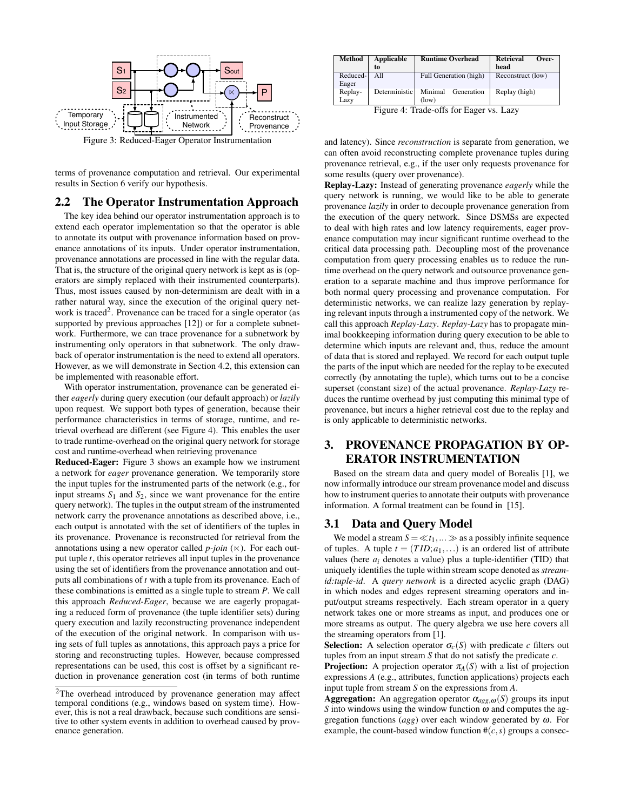

Figure 3: Reduced-Eager Operator Instrumentation

terms of provenance computation and retrieval. Our experimental results in Section 6 verify our hypothesis.

# 2.2 The Operator Instrumentation Approach

The key idea behind our operator instrumentation approach is to extend each operator implementation so that the operator is able to annotate its output with provenance information based on provenance annotations of its inputs. Under operator instrumentation, provenance annotations are processed in line with the regular data. That is, the structure of the original query network is kept as is (operators are simply replaced with their instrumented counterparts). Thus, most issues caused by non-determinism are dealt with in a rather natural way, since the execution of the original query network is traced<sup>2</sup>. Provenance can be traced for a single operator (as supported by previous approaches [12]) or for a complete subnetwork. Furthermore, we can trace provenance for a subnetwork by instrumenting only operators in that subnetwork. The only drawback of operator instrumentation is the need to extend all operators. However, as we will demonstrate in Section 4.2, this extension can be implemented with reasonable effort.

With operator instrumentation, provenance can be generated either *eagerly* during query execution (our default approach) or *lazily* upon request. We support both types of generation, because their performance characteristics in terms of storage, runtime, and retrieval overhead are different (see Figure 4). This enables the user to trade runtime-overhead on the original query network for storage cost and runtime-overhead when retrieving provenance

Reduced-Eager: Figure 3 shows an example how we instrument a network for *eager* provenance generation. We temporarily store the input tuples for the instrumented parts of the network (e.g., for input streams  $S_1$  and  $S_2$ , since we want provenance for the entire query network). The tuples in the output stream of the instrumented network carry the provenance annotations as described above, i.e., each output is annotated with the set of identifiers of the tuples in its provenance. Provenance is reconstructed for retrieval from the annotations using a new operator called  $p$ -join  $(\times)$ . For each output tuple *t*, this operator retrieves all input tuples in the provenance using the set of identifiers from the provenance annotation and outputs all combinations of *t* with a tuple from its provenance. Each of these combinations is emitted as a single tuple to stream *P*. We call this approach *Reduced-Eager*, because we are eagerly propagating a reduced form of provenance (the tuple identifier sets) during query execution and lazily reconstructing provenance independent of the execution of the original network. In comparison with using sets of full tuples as annotations, this approach pays a price for storing and reconstructing tuples. However, because compressed representations can be used, this cost is offset by a significant reduction in provenance generation cost (in terms of both runtime

| <b>Method</b>                                                                                                                                                                                  | Applicable<br>to | <b>Runtime Overhead</b>        | <b>Retrieval</b><br>Over-<br>head |  |  |
|------------------------------------------------------------------------------------------------------------------------------------------------------------------------------------------------|------------------|--------------------------------|-----------------------------------|--|--|
| Reduced-<br>Eager                                                                                                                                                                              | A11              | Full Generation (high)         | Reconstruct (low)                 |  |  |
| Replay-<br>Lazy                                                                                                                                                                                | Deterministic    | Minimal<br>Generation<br>(low) | Replay (high)                     |  |  |
| $\mathbf{E}^*$ and $\mathbf{A}$ . This $\mathbf{A} = \mathbf{E} \mathbf{E}$ , $\mathbf{E} = \mathbf{E} \mathbf{E}$ , $\mathbf{E} = \mathbf{E} \mathbf{E}$<br>$\mathbf{r}$ $\sim$ $\sim$ $\sim$ |                  |                                |                                   |  |  |

Figure 4: Trade-offs for Eager vs. Lazy

and latency). Since *reconstruction* is separate from generation, we can often avoid reconstructing complete provenance tuples during provenance retrieval, e.g., if the user only requests provenance for some results (query over provenance).

Replay-Lazy: Instead of generating provenance *eagerly* while the query network is running, we would like to be able to generate provenance *lazily* in order to decouple provenance generation from the execution of the query network. Since DSMSs are expected to deal with high rates and low latency requirements, eager provenance computation may incur significant runtime overhead to the critical data processing path. Decoupling most of the provenance computation from query processing enables us to reduce the runtime overhead on the query network and outsource provenance generation to a separate machine and thus improve performance for both normal query processing and provenance computation. For deterministic networks, we can realize lazy generation by replaying relevant inputs through a instrumented copy of the network. We call this approach *Replay-Lazy*. *Replay-Lazy* has to propagate minimal bookkeeping information during query execution to be able to determine which inputs are relevant and, thus, reduce the amount of data that is stored and replayed. We record for each output tuple the parts of the input which are needed for the replay to be executed correctly (by annotating the tuple), which turns out to be a concise superset (constant size) of the actual provenance. *Replay-Lazy* reduces the runtime overhead by just computing this minimal type of provenance, but incurs a higher retrieval cost due to the replay and is only applicable to deterministic networks.

# 3. PROVENANCE PROPAGATION BY OP-ERATOR INSTRUMENTATION

Based on the stream data and query model of Borealis [1], we now informally introduce our stream provenance model and discuss how to instrument queries to annotate their outputs with provenance information. A formal treatment can be found in [15].

#### 3.1 Data and Query Model

We model a stream  $S = \ll t_1, \ldots \gg$  as a possibly infinite sequence of tuples. A tuple  $t = (TID; a_1,...)$  is an ordered list of attribute values (here *ai* denotes a value) plus a tuple-identifier (TID) that uniquely identifies the tuple within stream scope denoted as *streamid:tuple-id*. A *query network* is a directed acyclic graph (DAG) in which nodes and edges represent streaming operators and input/output streams respectively. Each stream operator in a query network takes one or more streams as input, and produces one or more streams as output. The query algebra we use here covers all the streaming operators from [1].

**Selection:** A selection operator  $\sigma_c(S)$  with predicate *c* filters out tuples from an input stream *S* that do not satisfy the predicate *c*.

**Projection:** A projection operator  $\pi_A(S)$  with a list of projection expressions *A* (e.g., attributes, function applications) projects each input tuple from stream *S* on the expressions from *A*.

**Aggregation:** An aggregation operator  $\alpha_{\alpha}$ <sub>*agg*,  $\omega(S)$ </sub> groups its input *S* into windows using the window function  $\omega$  and computes the aggregation functions (*agg*) over each window generated by ω. For example, the count-based window function  $\#(c, s)$  groups a consec-

<sup>2</sup>The overhead introduced by provenance generation may affect temporal conditions (e.g., windows based on system time). However, this is not a real drawback, because such conditions are sensitive to other system events in addition to overhead caused by provenance generation.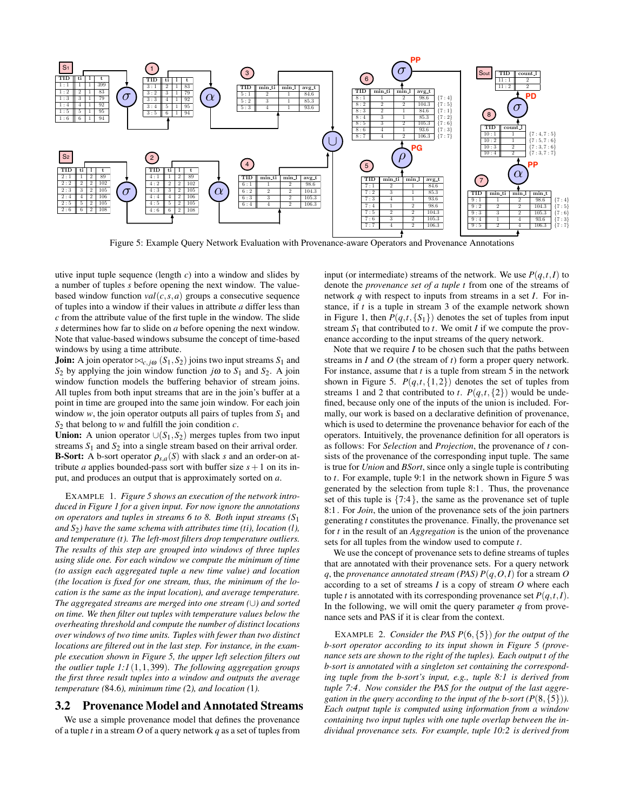

Figure 5: Example Query Network Evaluation with Provenance-aware Operators and Provenance Annotations

utive input tuple sequence (length *c*) into a window and slides by a number of tuples *s* before opening the next window. The valuebased window function  $val(c, s, a)$  groups a consecutive sequence of tuples into a window if their values in attribute *a* differ less than *c* from the attribute value of the first tuple in the window. The slide *s* determines how far to slide on *a* before opening the next window. Note that value-based windows subsume the concept of time-based windows by using a time attribute.

**Join:** A join operator  $\bowtie_{c, j\omega} (S_1, S_2)$  joins two input streams  $S_1$  and *S*<sub>2</sub> by applying the join window function  $j\omega$  to  $S_1$  and  $S_2$ . A join window function models the buffering behavior of stream joins. All tuples from both input streams that are in the join's buffer at a point in time are grouped into the same join window. For each join window  $w$ , the join operator outputs all pairs of tuples from  $S_1$  and  $S_2$  that belong to *w* and fulfill the join condition *c*.

**Union:** A union operator  $\cup$ (*S*<sub>1</sub>, *S*<sub>2</sub>) merges tuples from two input streams  $S_1$  and  $S_2$  into a single stream based on their arrival order. **B-Sort:** A b-sort operator  $\rho_{s,a}(S)$  with slack *s* and an order-on attribute *a* applies bounded-pass sort with buffer size  $s + 1$  on its input, and produces an output that is approximately sorted on *a*.

EXAMPLE 1. *Figure 5 shows an execution of the network introduced in Figure 1 for a given input. For now ignore the annotations on operators and tuples in streams 6 to 8. Both input streams (S*<sup>1</sup> *and S*2*) have the same schema with attributes time (ti), location (l), and temperature (t). The left-most filters drop temperature outliers. The results of this step are grouped into windows of three tuples using slide one. For each window we compute the minimum of time (to assign each aggregated tuple a new time value) and location (the location is fixed for one stream, thus, the minimum of the location is the same as the input location), and average temperature. The aggregated streams are merged into one stream (*∪*) and sorted on time. We then filter out tuples with temperature values below the overheating threshold and compute the number of distinct locations over windows of two time units. Tuples with fewer than two distinct locations are filtered out in the last step. For instance, in the example execution shown in Figure 5, the upper left selection filters out the outlier tuple 1:1*(1,1,399)*. The following aggregation groups the first three result tuples into a window and outputs the average temperature (*84.6*), minimum time (*2*), and location (*1*).*

#### 3.2 Provenance Model and Annotated Streams

We use a simple provenance model that defines the provenance of a tuple *t* in a stream *O* of a query network *q* as a set of tuples from input (or intermediate) streams of the network. We use  $P(q,t,I)$  to denote the *provenance set of a tuple t* from one of the streams of network *q* with respect to inputs from streams in a set *I*. For instance, if *t* is a tuple in stream 3 of the example network shown in Figure 1, then  $P(q, t, {S_1})$  denotes the set of tuples from input stream  $S_1$  that contributed to *t*. We omit *I* if we compute the provenance according to the input streams of the query network.

Note that we require *I* to be chosen such that the paths between streams in *I* and *O* (the stream of *t*) form a proper query network. For instance, assume that *t* is a tuple from stream 5 in the network shown in Figure 5.  $P(q,t,\{1,2\})$  denotes the set of tuples from streams 1 and 2 that contributed to *t*.  $P(q, t, \{2\})$  would be undefined, because only one of the inputs of the union is included. Formally, our work is based on a declarative definition of provenance, which is used to determine the provenance behavior for each of the operators. Intuitively, the provenance definition for all operators is as follows: For *Selection* and *Projection*, the provenance of *t* consists of the provenance of the corresponding input tuple. The same is true for *Union* and *BSort*, since only a single tuple is contributing to *t*. For example, tuple 9:1 in the network shown in Figure 5 was generated by the selection from tuple 8:1. Thus, the provenance set of this tuple is {7:4}, the same as the provenance set of tuple 8:1. For *Join*, the union of the provenance sets of the join partners generating *t* constitutes the provenance. Finally, the provenance set for *t* in the result of an *Aggregation* is the union of the provenance sets for all tuples from the window used to compute *t*.

We use the concept of provenance sets to define streams of tuples that are annotated with their provenance sets. For a query network *q*, the *provenance annotated stream (PAS)*  $P(q, O, I)$  for a stream  $O$ according to a set of streams *I* is a copy of stream *O* where each tuple *t* is annotated with its corresponding provenance set  $P(q,t,I)$ . In the following, we will omit the query parameter  $q$  from provenance sets and PAS if it is clear from the context.

EXAMPLE 2. *Consider the PAS P*(6,{5}) *for the output of the b-sort operator according to its input shown in Figure 5 (provenance sets are shown to the right of the tuples). Each output t of the b-sort is annotated with a singleton set containing the corresponding tuple from the b-sort's input, e.g., tuple 8:1 is derived from tuple 7:4. Now consider the PAS for the output of the last aggregation in the query according to the input of the b-sort*  $(P(8, \{5\}))$ *. Each output tuple is computed using information from a window containing two input tuples with one tuple overlap between the individual provenance sets. For example, tuple 10:2 is derived from*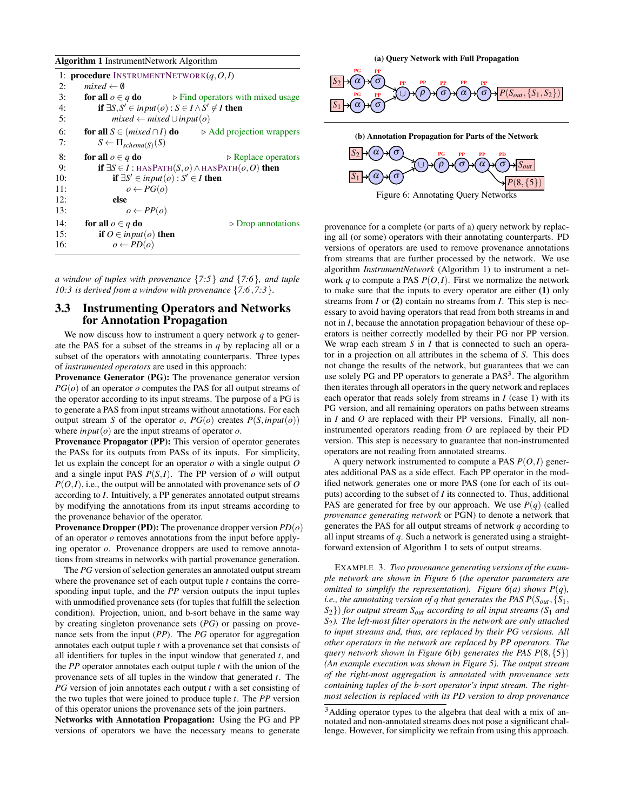Algorithm 1 InstrumentNetwork Algorithm

| 1:  | <b>procedure</b> INSTRUMENTNETWORK $(q, Q, I)$ |                                                                                       |  |  |  |
|-----|------------------------------------------------|---------------------------------------------------------------------------------------|--|--|--|
| 2:  | $mixed \leftarrow \emptyset$                   |                                                                                       |  |  |  |
| 3:  | for all $o \in q$ do                           | $\triangleright$ Find operators with mixed usage                                      |  |  |  |
| 4:  |                                                | if $\exists S, S' \in input(o) : S \in I \wedge S' \notin I$ then                     |  |  |  |
| 5:  | $mixed \leftarrow mixed \cup input(o)$         |                                                                                       |  |  |  |
| 6:  |                                                | <b>for all</b> $S \in (mixed \cap I)$ <b>do</b> $\rightarrow$ Add projection wrappers |  |  |  |
| 7:  | $S \leftarrow \Pi_{\text{schema}(S)}(S)$       |                                                                                       |  |  |  |
| 8:  | for all $o \in q$ do                           | $\triangleright$ Replace operators                                                    |  |  |  |
| 9:  |                                                | <b>if</b> $\exists S \in I$ : HASPATH $(S, o) \wedge$ HASPATH $(o, O)$ then           |  |  |  |
| 10: | if $\exists S' \in input(o) : S' \in I$ then   |                                                                                       |  |  |  |
| 11: | $o \leftarrow PG(o)$                           |                                                                                       |  |  |  |
| 12: | else                                           |                                                                                       |  |  |  |
| 13: | $o \leftarrow PP(o)$                           |                                                                                       |  |  |  |
| 14: | for all $o \in q$ do                           | $\triangleright$ Drop annotations                                                     |  |  |  |
| 15: | <b>if</b> $O \in input(o)$ then                |                                                                                       |  |  |  |
| 16: | $o \leftarrow PD(o)$                           |                                                                                       |  |  |  |

*a window of tuples with provenance* {*7:5*} *and* {*7:6*}*, and tuple 10:3 is derived from a window with provenance* {*7:6*,*7:3*}*.*

# 3.3 Instrumenting Operators and Networks for Annotation Propagation

We now discuss how to instrument a query network *q* to generate the PAS for a subset of the streams in *q* by replacing all or a subset of the operators with annotating counterparts. Three types of *instrumented operators* are used in this approach:

Provenance Generator (PG): The provenance generator version *PG*(*o*) of an operator *o* computes the PAS for all output streams of the operator according to its input streams. The purpose of a PG is to generate a PAS from input streams without annotations. For each output stream *S* of the operator *o*,  $PG(o)$  creates  $P(S, input(o))$ where  $input(o)$  are the input streams of operator  $o$ .

Provenance Propagator (PP): This version of operator generates the PASs for its outputs from PASs of its inputs. For simplicity, let us explain the concept for an operator *o* with a single output *O* and a single input PAS  $P(S, I)$ . The PP version of  $o$  will output  $P(O,I)$ , i.e., the output will be annotated with provenance sets of  $O$ according to *I*. Intuitively, a PP generates annotated output streams by modifying the annotations from its input streams according to the provenance behavior of the operator.

Provenance Dropper (PD): The provenance dropper version *PD*(*o*) of an operator *o* removes annotations from the input before applying operator *o*. Provenance droppers are used to remove annotations from streams in networks with partial provenance generation.

The *PG* version of selection generates an annotated output stream where the provenance set of each output tuple *t* contains the corresponding input tuple, and the *PP* version outputs the input tuples with unmodified provenance sets (for tuples that fulfill the selection condition). Projection, union, and b-sort behave in the same way by creating singleton provenance sets (*PG*) or passing on provenance sets from the input (*PP*). The *PG* operator for aggregation annotates each output tuple *t* with a provenance set that consists of all identifiers for tuples in the input window that generated *t*, and the *PP* operator annotates each output tuple *t* with the union of the provenance sets of all tuples in the window that generated *t*. The *PG* version of join annotates each output *t* with a set consisting of the two tuples that were joined to produce tuple *t*. The *PP* version of this operator unions the provenance sets of the join partners.

Networks with Annotation Propagation: Using the PG and PP versions of operators we have the necessary means to generate

(a) Query Network with Full Propagation  $P(S_{out}, \{S_1, S_2\})$ PP α PP σ PP ρ PP ∪  $\sigma$ <sub>PP</sub> PP σ PP α PG α PG *S*2 *S*1 (b) Annotation Propagation for Parts of the Network



provenance for a complete (or parts of a) query network by replacing all (or some) operators with their annotating counterparts. PD versions of operators are used to remove provenance annotations from streams that are further processed by the network. We use algorithm *InstrumentNetwork* (Algorithm 1) to instrument a network *q* to compute a PAS  $P(O, I)$ . First we normalize the network to make sure that the inputs to every operator are either (1) only streams from *I* or (2) contain no streams from *I*. This step is necessary to avoid having operators that read from both streams in and not in *I*, because the annotation propagation behaviour of these operators is neither correctly modelled by their PG nor PP version. We wrap each stream *S* in *I* that is connected to such an operator in a projection on all attributes in the schema of *S*. This does not change the results of the network, but guarantees that we can use solely PG and PP operators to generate a PAS<sup>3</sup>. The algorithm then iterates through all operators in the query network and replaces each operator that reads solely from streams in *I* (case 1) with its PG version, and all remaining operators on paths between streams in *I* and *O* are replaced with their PP versions. Finally, all noninstrumented operators reading from *O* are replaced by their PD version. This step is necessary to guarantee that non-instrumented operators are not reading from annotated streams.

A query network instrumented to compute a PAS *P*(*O*,*I*) generates additional PAS as a side effect. Each PP operator in the modified network generates one or more PAS (one for each of its outputs) according to the subset of *I* its connected to. Thus, additional PAS are generated for free by our approach. We use  $P(q)$  (called *provenance generating network* or PGN) to denote a network that generates the PAS for all output streams of network *q* according to all input streams of *q*. Such a network is generated using a straightforward extension of Algorithm 1 to sets of output streams.

EXAMPLE 3. *Two provenance generating versions of the example network are shown in Figure 6 (the operator parameters are omitted to simplify the representation). Figure*  $6(a)$  *shows*  $P(q)$ *, i.e., the annotating version of q that generates the PAS*  $P(S_{out}, \{S_1,$ *S*2}) *for output stream Sout according to all input streams (S*<sup>1</sup> *and S*2*). The left-most filter operators in the network are only attached to input streams and, thus, are replaced by their PG versions. All other operators in the network are replaced by PP operators. The query network shown in Figure 6(b) generates the PAS P*(8,{5}) *(An example execution was shown in Figure 5). The output stream of the right-most aggregation is annotated with provenance sets containing tuples of the b-sort operator's input stream. The rightmost selection is replaced with its PD version to drop provenance*

<sup>3</sup>Adding operator types to the algebra that deal with a mix of annotated and non-annotated streams does not pose a significant challenge. However, for simplicity we refrain from using this approach.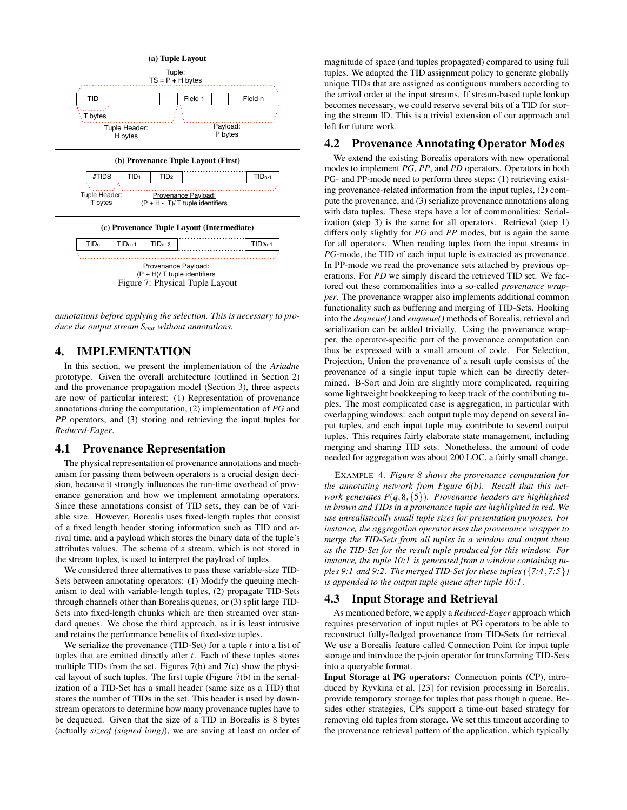

Provenance Payload: (P + H)/ T tuple identifiers Figure 7: Physical Tuple Layout

*annotations before applying the selection. This is necessary to produce the output stream Sout without annotations.*

# 4. IMPLEMENTATION

In this section, we present the implementation of the *Ariadne* prototype. Given the overall architecture (outlined in Section 2) and the provenance propagation model (Section 3), three aspects are now of particular interest: (1) Representation of provenance annotations during the computation, (2) implementation of *PG* and *PP* operators, and (3) storing and retrieving the input tuples for *Reduced-Eager*.

#### 4.1 Provenance Representation

The physical representation of provenance annotations and mechanism for passing them between operators is a crucial design decision, because it strongly influences the run-time overhead of provenance generation and how we implement annotating operators. Since these annotations consist of TID sets, they can be of variable size. However, Borealis uses fixed-length tuples that consist of a fixed length header storing information such as TID and arrival time, and a payload which stores the binary data of the tuple's attributes values. The schema of a stream, which is not stored in the stream tuples, is used to interpret the payload of tuples.

We considered three alternatives to pass these variable-size TID-Sets between annotating operators: (1) Modify the queuing mechanism to deal with variable-length tuples, (2) propagate TID-Sets through channels other than Borealis queues, or (3) split large TID-Sets into fixed-length chunks which are then streamed over standard queues. We chose the third approach, as it is least intrusive and retains the performance benefits of fixed-size tuples.

We serialize the provenance (TID-Set) for a tuple *t* into a list of tuples that are emitted directly after *t*. Each of these tuples stores multiple TIDs from the set. Figures 7(b) and 7(c) show the physical layout of such tuples. The first tuple (Figure 7(b) in the serialization of a TID-Set has a small header (same size as a TID) that stores the number of TIDs in the set. This header is used by downstream operators to determine how many provenance tuples have to be dequeued. Given that the size of a TID in Borealis is 8 bytes (actually *sizeof (signed long)*), we are saving at least an order of magnitude of space (and tuples propagated) compared to using full tuples. We adapted the TID assignment policy to generate globally unique TIDs that are assigned as contiguous numbers according to the arrival order at the input streams. If stream-based tuple lookup becomes necessary, we could reserve several bits of a TID for storing the stream ID. This is a trivial extension of our approach and left for future work.

#### 4.2 Provenance Annotating Operator Modes

We extend the existing Borealis operators with new operational modes to implement *PG*, *PP*, and *PD* operators. Operators in both PG- and PP-mode need to perform three steps: (1) retrieving existing provenance-related information from the input tuples, (2) compute the provenance, and (3) serialize provenance annotations along with data tuples. These steps have a lot of commonalities: Serialization (step 3) is the same for all operators. Retrieval (step 1) differs only slightly for *PG* and *PP* modes, but is again the same for all operators. When reading tuples from the input streams in *PG*-mode, the TID of each input tuple is extracted as provenance. In PP-mode we read the provenance sets attached by previous operations. For *PD* we simply discard the retrieved TID set. We factored out these commonalities into a so-called *provenance wrapper*. The provenance wrapper also implements additional common functionality such as buffering and merging of TID-Sets. Hooking into the *dequeue()* and *enqueue()* methods of Borealis, retrieval and serialization can be added trivially. Using the provenance wrapper, the operator-specific part of the provenance computation can thus be expressed with a small amount of code. For Selection, Projection, Union the provenance of a result tuple consists of the provenance of a single input tuple which can be directly determined. B-Sort and Join are slightly more complicated, requiring some lightweight bookkeeping to keep track of the contributing tuples. The most complicated case is aggregation, in particular with overlapping windows: each output tuple may depend on several input tuples, and each input tuple may contribute to several output tuples. This requires fairly elaborate state management, including merging and sharing TID sets. Nonetheless, the amount of code needed for aggregation was about 200 LOC, a fairly small change.

EXAMPLE 4. *Figure 8 shows the provenance computation for the annotating network from Figure 6(b). Recall that this network generates P*(*q*,8,{5})*. Provenance headers are highlighted in brown and TIDs in a provenance tuple are highlighted in red. We use unrealistically small tuple sizes for presentation purposes. For instance, the aggregation operator uses the provenance wrapper to merge the TID-Sets from all tuples in a window and output them as the TID-Set for the result tuple produced for this window. For instance, the tuple 10:1 is generated from a window containing tuples 9:1 and 9:2. The merged TID-Set for these tuples (*{*7:4*,*7:5*}*) is appended to the output tuple queue after tuple 10:1.*

#### 4.3 Input Storage and Retrieval

As mentioned before, we apply a *Reduced-Eager* approach which requires preservation of input tuples at PG operators to be able to reconstruct fully-fledged provenance from TID-Sets for retrieval. We use a Borealis feature called Connection Point for input tuple storage and introduce the p-join operator for transforming TID-Sets into a queryable format.

Input Storage at PG operators: Connection points (CP), introduced by Ryvkina et al. [23] for revision processing in Borealis, provide temporary storage for tuples that pass though a queue. Besides other strategies, CPs support a time-out based strategy for removing old tuples from storage. We set this timeout according to the provenance retrieval pattern of the application, which typically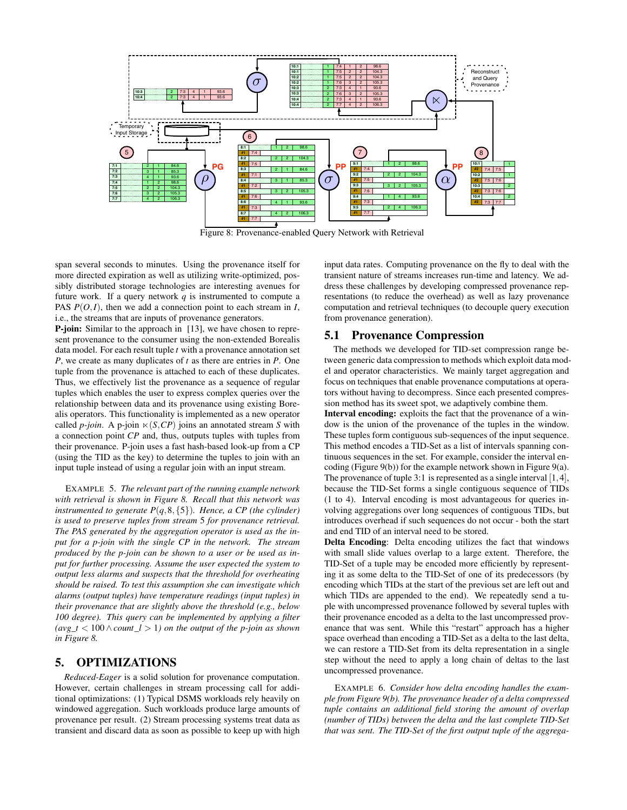

Figure 8: Provenance-enabled Query Network with Retrieval

span several seconds to minutes. Using the provenance itself for more directed expiration as well as utilizing write-optimized, possibly distributed storage technologies are interesting avenues for future work. If a query network  $q$  is instrumented to compute a PAS  $P(O, I)$ , then we add a connection point to each stream in *I*, i.e., the streams that are inputs of provenance generators.

**P-join:** Similar to the approach in [13], we have chosen to represent provenance to the consumer using the non-extended Borealis data model. For each result tuple *t* with a provenance annotation set *P*, we create as many duplicates of *t* as there are entries in *P*. One tuple from the provenance is attached to each of these duplicates. Thus, we effectively list the provenance as a sequence of regular tuples which enables the user to express complex queries over the relationship between data and its provenance using existing Borealis operators. This functionality is implemented as a new operator called *p*-join. A p-join  $\ltimes$  (*S*,*CP*) joins an annotated stream *S* with a connection point *CP* and, thus, outputs tuples with tuples from their provenance. P-join uses a fast hash-based look-up from a CP (using the TID as the key) to determine the tuples to join with an input tuple instead of using a regular join with an input stream.

EXAMPLE 5. *The relevant part of the running example network with retrieval is shown in Figure 8. Recall that this network was instrumented to generate*  $P(q, 8, \{5\})$ *. Hence, a CP (the cylinder) is used to preserve tuples from stream* 5 *for provenance retrieval. The PAS generated by the aggregation operator is used as the input for a p-join with the single CP in the network. The stream produced by the p-join can be shown to a user or be used as input for further processing. Assume the user expected the system to output less alarms and suspects that the threshold for overheating should be raised. To test this assumption she can investigate which alarms (output tuples) have temperature readings (input tuples) in their provenance that are slightly above the threshold (e.g., below 100 degree). This query can be implemented by applying a filter (avg\_t* < 100∧*count\_l* > 1*) on the output of the p-join as shown in Figure 8.*

## 5. OPTIMIZATIONS

*Reduced-Eager* is a solid solution for provenance computation. However, certain challenges in stream processing call for additional optimizations: (1) Typical DSMS workloads rely heavily on windowed aggregation. Such workloads produce large amounts of provenance per result. (2) Stream processing systems treat data as transient and discard data as soon as possible to keep up with high input data rates. Computing provenance on the fly to deal with the transient nature of streams increases run-time and latency. We address these challenges by developing compressed provenance representations (to reduce the overhead) as well as lazy provenance computation and retrieval techniques (to decouple query execution from provenance generation).

#### 5.1 Provenance Compression

The methods we developed for TID-set compression range between generic data compression to methods which exploit data model and operator characteristics. We mainly target aggregation and focus on techniques that enable provenance computations at operators without having to decompress. Since each presented compression method has its sweet spot, we adaptively combine them.

Interval encoding: exploits the fact that the provenance of a window is the union of the provenance of the tuples in the window. These tuples form contiguous sub-sequences of the input sequence. This method encodes a TID-Set as a list of intervals spanning continuous sequences in the set. For example, consider the interval encoding (Figure 9(b)) for the example network shown in Figure 9(a). The provenance of tuple 3:1 is represented as a single interval [1,4], because the TID-Set forms a single contiguous sequence of TIDs (1 to 4). Interval encoding is most advantageous for queries involving aggregations over long sequences of contiguous TIDs, but introduces overhead if such sequences do not occur - both the start and end TID of an interval need to be stored.

Delta Encoding: Delta encoding utilizes the fact that windows with small slide values overlap to a large extent. Therefore, the TID-Set of a tuple may be encoded more efficiently by representing it as some delta to the TID-Set of one of its predecessors (by encoding which TIDs at the start of the previous set are left out and which TIDs are appended to the end). We repeatedly send a tuple with uncompressed provenance followed by several tuples with their provenance encoded as a delta to the last uncompressed provenance that was sent. While this "restart" approach has a higher space overhead than encoding a TID-Set as a delta to the last delta, we can restore a TID-Set from its delta representation in a single step without the need to apply a long chain of deltas to the last uncompressed provenance.

EXAMPLE 6. *Consider how delta encoding handles the example from Figure 9(b). The provenance header of a delta compressed tuple contains an additional field storing the amount of overlap (number of TIDs) between the delta and the last complete TID-Set that was sent. The TID-Set of the first output tuple of the aggrega-*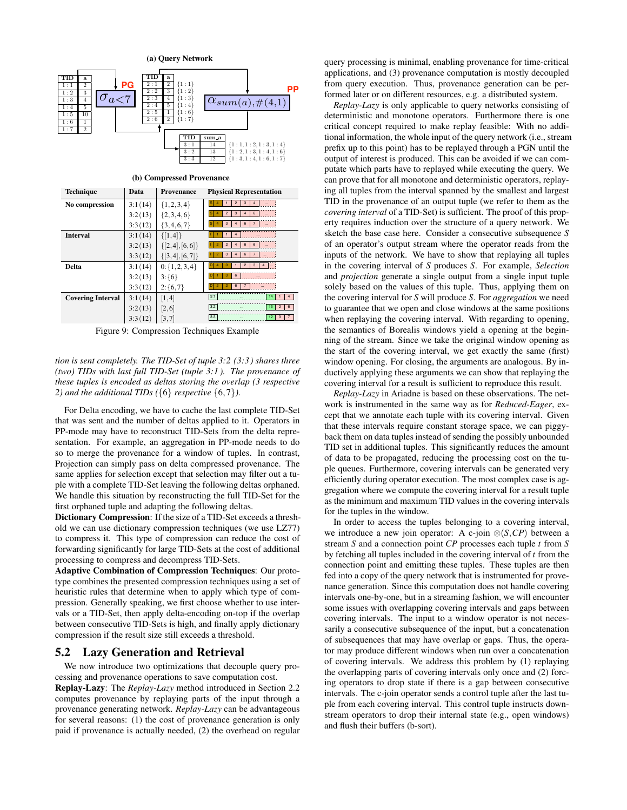

| <b>Technique</b>         | Data    | Provenance          | <b>Physical Representation</b>                               |  |
|--------------------------|---------|---------------------|--------------------------------------------------------------|--|
| No compression           | 3:1(14) | ${1, 2, 3, 4}$      | 3<br>ls<br>$\overline{2}$<br>$\overline{a}$                  |  |
|                          | 3:2(13) | ${2, 3, 4, 6}$      | 6<br>$\overline{2}$<br>3<br>s<br>4                           |  |
|                          | 3:3(12) | $\{3,4,6,7\}$       | 3<br>6<br>$\overline{7}$<br>s                                |  |
| <b>Interval</b>          | 3:1(14) | $\{[1,4]\}$         | $\mathbf{1}$<br>4                                            |  |
|                          | 3:2(13) | $\{[2,4],[6,6]\}$   | $\overline{c}$<br>6<br>6<br>2                                |  |
|                          | 3:3(12) | $\{[3,4],[6,7]\}$   | 6<br>$\overline{7}$<br>$\overline{2}$<br>3<br>4              |  |
| <b>Delta</b>             | 3:1(14) | $0: \{1, 2, 3, 4\}$ | $\overline{2}$<br>3<br>D<br>$\mathbf 0$<br>$\overline{4}$    |  |
|                          | 3:2(13) | 3:6                 | 3<br>6<br>D                                                  |  |
|                          | 3:3(12) | $2: {6, 7}$         | $\overline{2}$<br>$\overline{7}$<br>$\overline{2}$<br>6<br>D |  |
| <b>Covering Interval</b> | 3:1(14) | [1, 4]              | 3:1<br>$\overline{a}$<br>14                                  |  |
|                          | 3:2(13) | [2,6]               | 3:2<br>6<br>13<br>$\overline{2}$                             |  |
|                          | 3:3(12) | [3, 7]              | 3:3<br>$\mathbf{3}$<br>$\overline{7}$<br>12                  |  |

(b) Compressed Provenance

Figure 9: Compression Techniques Example

*tion is sent completely. The TID-Set of tuple 3:2 (3:3 ) shares three (two) TIDs with last full TID-Set (tuple 3:1 ). The provenance of these tuples is encoded as deltas storing the overlap (3 respective 2) and the additional TIDs (*{6} *respective* {6,7}*).*

For Delta encoding, we have to cache the last complete TID-Set that was sent and the number of deltas applied to it. Operators in PP-mode may have to reconstruct TID-Sets from the delta representation. For example, an aggregation in PP-mode needs to do so to merge the provenance for a window of tuples. In contrast, Projection can simply pass on delta compressed provenance. The same applies for selection except that selection may filter out a tuple with a complete TID-Set leaving the following deltas orphaned. We handle this situation by reconstructing the full TID-Set for the first orphaned tuple and adapting the following deltas.

Dictionary Compression: If the size of a TID-Set exceeds a threshold we can use dictionary compression techniques (we use LZ77) to compress it. This type of compression can reduce the cost of forwarding significantly for large TID-Sets at the cost of additional processing to compress and decompress TID-Sets.

Adaptive Combination of Compression Techniques: Our prototype combines the presented compression techniques using a set of heuristic rules that determine when to apply which type of compression. Generally speaking, we first choose whether to use intervals or a TID-Set, then apply delta-encoding on-top if the overlap between consecutive TID-Sets is high, and finally apply dictionary compression if the result size still exceeds a threshold.

#### 5.2 Lazy Generation and Retrieval

We now introduce two optimizations that decouple query processing and provenance operations to save computation cost. Replay-Lazy: The *Replay-Lazy* method introduced in Section 2.2 computes provenance by replaying parts of the input through a provenance generating network. *Replay-Lazy* can be advantageous for several reasons: (1) the cost of provenance generation is only paid if provenance is actually needed, (2) the overhead on regular query processing is minimal, enabling provenance for time-critical applications, and (3) provenance computation is mostly decoupled from query execution. Thus, provenance generation can be performed later or on different resources, e.g. a distributed system.

*Replay-Lazy* is only applicable to query networks consisting of deterministic and monotone operators. Furthermore there is one critical concept required to make replay feasible: With no additional information, the whole input of the query network (i.e., stream prefix up to this point) has to be replayed through a PGN until the output of interest is produced. This can be avoided if we can computate which parts have to replayed while executing the query. We can prove that for all monotone and deterministic operators, replaying all tuples from the interval spanned by the smallest and largest TID in the provenance of an output tuple (we refer to them as the *covering interval* of a TID-Set) is sufficient. The proof of this property requires induction over the structure of a query network. We sketch the base case here. Consider a consecutive subsequence *S* of an operator's output stream where the operator reads from the inputs of the network. We have to show that replaying all tuples in the covering interval of *S* produces *S*. For example, *Selection* and *projection* generate a single output from a single input tuple solely based on the values of this tuple. Thus, applying them on the covering interval for *S* will produce *S*. For *aggregation* we need to guarantee that we open and close windows at the same positions when replaying the covering interval. With regarding to opening, the semantics of Borealis windows yield a opening at the beginning of the stream. Since we take the original window opening as the start of the covering interval, we get exactly the same (first) window opening. For closing, the arguments are analogous. By inductively applying these arguments we can show that replaying the covering interval for a result is sufficient to reproduce this result.

*Replay-Lazy* in Ariadne is based on these observations. The network is instrumented in the same way as for *Reduced-Eager*, except that we annotate each tuple with its covering interval. Given that these intervals require constant storage space, we can piggyback them on data tuples instead of sending the possibly unbounded TID set in additional tuples. This significantly reduces the amount of data to be propagated, reducing the processing cost on the tuple queues. Furthermore, covering intervals can be generated very efficiently during operator execution. The most complex case is aggregation where we compute the covering interval for a result tuple as the minimum and maximum TID values in the covering intervals for the tuples in the window.

In order to access the tuples belonging to a covering interval, we introduce a new join operator: A c-join ⊗(*S*,*CP*) between a stream *S* and a connection point *CP* processes each tuple *t* from *S* by fetching all tuples included in the covering interval of *t* from the connection point and emitting these tuples. These tuples are then fed into a copy of the query network that is instrumented for provenance generation. Since this computation does not handle covering intervals one-by-one, but in a streaming fashion, we will encounter some issues with overlapping covering intervals and gaps between covering intervals. The input to a window operator is not necessarily a consecutive subsequence of the input, but a concatenation of subsequences that may have overlap or gaps. Thus, the operator may produce different windows when run over a concatenation of covering intervals. We address this problem by (1) replaying the overlapping parts of covering intervals only once and (2) forcing operators to drop state if there is a gap between consecutive intervals. The c-join operator sends a control tuple after the last tuple from each covering interval. This control tuple instructs downstream operators to drop their internal state (e.g., open windows) and flush their buffers (b-sort).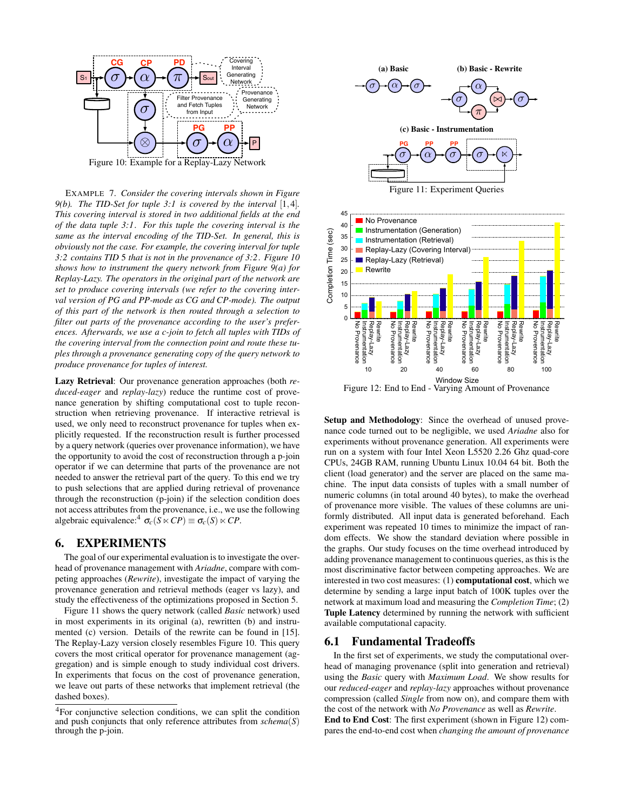

EXAMPLE 7. *Consider the covering intervals shown in Figure 9(b). The TID-Set for tuple 3:1 is covered by the interval* [1,4]*. This covering interval is stored in two additional fields at the end of the data tuple 3:1. For this tuple the covering interval is the same as the interval encoding of the TID-Set. In general, this is obviously not the case. For example, the covering interval for tuple 3:2 contains TID* 5 *that is not in the provenance of 3:2. Figure 10 shows how to instrument the query network from Figure 9(a) for Replay-Lazy. The operators in the original part of the network are set to produce covering intervals (we refer to the covering interval version of PG and PP-mode as CG and CP-mode). The output of this part of the network is then routed through a selection to filter out parts of the provenance according to the user's preferences. Afterwards, we use a c-join to fetch all tuples with TIDs of the covering interval from the connection point and route these tuples through a provenance generating copy of the query network to produce provenance for tuples of interest.*

Lazy Retrieval: Our provenance generation approaches (both *reduced-eager* and *replay-lazy*) reduce the runtime cost of provenance generation by shifting computational cost to tuple reconstruction when retrieving provenance. If interactive retrieval is used, we only need to reconstruct provenance for tuples when explicitly requested. If the reconstruction result is further processed by a query network (queries over provenance information), we have the opportunity to avoid the cost of reconstruction through a p-join operator if we can determine that parts of the provenance are not needed to answer the retrieval part of the query. To this end we try to push selections that are applied during retrieval of provenance through the reconstruction (p-join) if the selection condition does not access attributes from the provenance, i.e., we use the following algebraic equivalence:<sup>4</sup>  $\sigma_c(S \ltimes CP) \equiv \sigma_c(S) \ltimes CP$ .

## 6. EXPERIMENTS

The goal of our experimental evaluation is to investigate the overhead of provenance management with *Ariadne*, compare with competing approaches (*Rewrite*), investigate the impact of varying the provenance generation and retrieval methods (eager vs lazy), and study the effectiveness of the optimizations proposed in Section 5.

Figure 11 shows the query network (called *Basic* network) used in most experiments in its original (a), rewritten (b) and instrumented (c) version. Details of the rewrite can be found in [15]. The Replay-Lazy version closely resembles Figure 10. This query covers the most critical operator for provenance management (aggregation) and is simple enough to study individual cost drivers. In experiments that focus on the cost of provenance generation, we leave out parts of these networks that implement retrieval (the dashed boxes).



Setup and Methodology: Since the overhead of unused provenance code turned out to be negligible, we used *Ariadne* also for experiments without provenance generation. All experiments were run on a system with four Intel Xeon L5520 2.26 Ghz quad-core CPUs, 24GB RAM, running Ubuntu Linux 10.04 64 bit. Both the client (load generator) and the server are placed on the same machine. The input data consists of tuples with a small number of numeric columns (in total around 40 bytes), to make the overhead of provenance more visible. The values of these columns are uniformly distributed. All input data is generated beforehand. Each experiment was repeated 10 times to minimize the impact of random effects. We show the standard deviation where possible in the graphs. Our study focuses on the time overhead introduced by adding provenance management to continuous queries, as this is the most discriminative factor between competing approaches. We are interested in two cost measures: (1) computational cost, which we determine by sending a large input batch of 100K tuples over the network at maximum load and measuring the *Completion Time*; (2) Tuple Latency determined by running the network with sufficient available computational capacity.

#### 6.1 Fundamental Tradeoffs

In the first set of experiments, we study the computational overhead of managing provenance (split into generation and retrieval) using the *Basic* query with *Maximum Load*. We show results for our *reduced-eager* and *replay-lazy* approaches without provenance compression (called *Single* from now on), and compare them with the cost of the network with *No Provenance* as well as *Rewrite*.

End to End Cost: The first experiment (shown in Figure 12) compares the end-to-end cost when *changing the amount of provenance*

<sup>4</sup>For conjunctive selection conditions, we can split the condition and push conjuncts that only reference attributes from *schema*(*S*) through the p-join.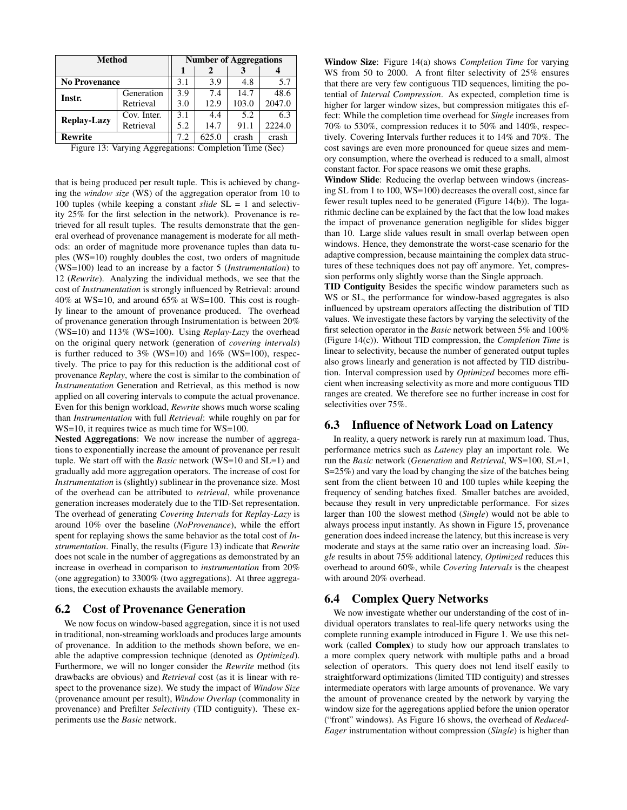| <b>Method</b>        |             | <b>Number of Aggregations</b> |       |       |        |
|----------------------|-------------|-------------------------------|-------|-------|--------|
|                      |             |                               | 2     |       |        |
| <b>No Provenance</b> |             | 3.1                           | 3.9   | 4.8   | 5.7    |
| Instr.               | Generation  | 3.9                           | 7.4   | 14.7  | 48.6   |
|                      | Retrieval   | 3.0                           | 12.9  | 103.0 | 2047.0 |
| <b>Replay-Lazy</b>   | Cov. Inter. | 3.1                           | 4.4   | 5.2   | 6.3    |
|                      | Retrieval   | 5.2                           | 14.7  | 91.1  | 2224.0 |
| Rewrite              |             | 7.2                           | 625.0 | crash | crash  |

Figure 13: Varying Aggregations: Completion Time (Sec)

that is being produced per result tuple. This is achieved by changing the *window size* (WS) of the aggregation operator from 10 to 100 tuples (while keeping a constant *slide* SL = 1 and selectivity 25% for the first selection in the network). Provenance is retrieved for all result tuples. The results demonstrate that the general overhead of provenance management is moderate for all methods: an order of magnitude more provenance tuples than data tuples (WS=10) roughly doubles the cost, two orders of magnitude (WS=100) lead to an increase by a factor 5 (*Instrumentation*) to 12 (*Rewrite*). Analyzing the individual methods, we see that the cost of *Instrumentation* is strongly influenced by Retrieval: around 40% at WS=10, and around 65% at WS=100. This cost is roughly linear to the amount of provenance produced. The overhead of provenance generation through Instrumentation is between 20% (WS=10) and 113% (WS=100). Using *Replay-Lazy* the overhead on the original query network (generation of *covering intervals*) is further reduced to  $3\%$  (WS=10) and  $16\%$  (WS=100), respectively. The price to pay for this reduction is the additional cost of provenance *Replay*, where the cost is similar to the combination of *Instrumentation* Generation and Retrieval, as this method is now applied on all covering intervals to compute the actual provenance. Even for this benign workload, *Rewrite* shows much worse scaling than *Instrumentation* with full *Retrieval*: while roughly on par for WS=10, it requires twice as much time for WS=100.

Nested Aggregations: We now increase the number of aggregations to exponentially increase the amount of provenance per result tuple. We start off with the *Basic* network (WS=10 and SL=1) and gradually add more aggregation operators. The increase of cost for *Instrumentation* is (slightly) sublinear in the provenance size. Most of the overhead can be attributed to *retrieval*, while provenance generation increases moderately due to the TID-Set representation. The overhead of generating *Covering Intervals* for *Replay-Lazy* is around 10% over the baseline (*NoProvenance*), while the effort spent for replaying shows the same behavior as the total cost of *Instrumentation*. Finally, the results (Figure 13) indicate that *Rewrite* does not scale in the number of aggregations as demonstrated by an increase in overhead in comparison to *instrumentation* from 20% (one aggregation) to 3300% (two aggregations). At three aggregations, the execution exhausts the available memory.

#### 6.2 Cost of Provenance Generation

We now focus on window-based aggregation, since it is not used in traditional, non-streaming workloads and produces large amounts of provenance. In addition to the methods shown before, we enable the adaptive compression technique (denoted as *Optimized*). Furthermore, we will no longer consider the *Rewrite* method (its drawbacks are obvious) and *Retrieval* cost (as it is linear with respect to the provenance size). We study the impact of *Window Size* (provenance amount per result), *Window Overlap* (commonality in provenance) and Prefilter *Selectivity* (TID contiguity). These experiments use the *Basic* network.

Window Size: Figure 14(a) shows *Completion Time* for varying WS from 50 to 2000. A front filter selectivity of 25% ensures that there are very few contiguous TID sequences, limiting the potential of *Interval Compression*. As expected, completion time is higher for larger window sizes, but compression mitigates this effect: While the completion time overhead for *Single* increases from 70% to 530%, compression reduces it to 50% and 140%, respectively. Covering Intervals further reduces it to 14% and 70%. The cost savings are even more pronounced for queue sizes and memory consumption, where the overhead is reduced to a small, almost constant factor. For space reasons we omit these graphs.

Window Slide: Reducing the overlap between windows (increasing SL from 1 to 100, WS=100) decreases the overall cost, since far fewer result tuples need to be generated (Figure 14(b)). The logarithmic decline can be explained by the fact that the low load makes the impact of provenance generation negligible for slides bigger than 10. Large slide values result in small overlap between open windows. Hence, they demonstrate the worst-case scenario for the adaptive compression, because maintaining the complex data structures of these techniques does not pay off anymore. Yet, compression performs only slightly worse than the Single approach.

TID Contiguity Besides the specific window parameters such as WS or SL, the performance for window-based aggregates is also influenced by upstream operators affecting the distribution of TID values. We investigate these factors by varying the selectivity of the first selection operator in the *Basic* network between 5% and 100% (Figure 14(c)). Without TID compression, the *Completion Time* is linear to selectivity, because the number of generated output tuples also grows linearly and generation is not affected by TID distribution. Interval compression used by *Optimized* becomes more efficient when increasing selectivity as more and more contiguous TID ranges are created. We therefore see no further increase in cost for selectivities over 75%.

#### 6.3 Influence of Network Load on Latency

In reality, a query network is rarely run at maximum load. Thus, performance metrics such as *Latency* play an important role. We run the *Basic* network (*Generation* and *Retrieval*, WS=100, SL=1, S=25%) and vary the load by changing the size of the batches being sent from the client between 10 and 100 tuples while keeping the frequency of sending batches fixed. Smaller batches are avoided, because they result in very unpredictable performance. For sizes larger than 100 the slowest method (*Single*) would not be able to always process input instantly. As shown in Figure 15, provenance generation does indeed increase the latency, but this increase is very moderate and stays at the same ratio over an increasing load. *Single* results in about 75% additional latency, *Optimized* reduces this overhead to around 60%, while *Covering Intervals* is the cheapest with around 20% overhead.

#### 6.4 Complex Query Networks

We now investigate whether our understanding of the cost of individual operators translates to real-life query networks using the complete running example introduced in Figure 1. We use this network (called Complex) to study how our approach translates to a more complex query network with multiple paths and a broad selection of operators. This query does not lend itself easily to straightforward optimizations (limited TID contiguity) and stresses intermediate operators with large amounts of provenance. We vary the amount of provenance created by the network by varying the window size for the aggregations applied before the union operator ("front" windows). As Figure 16 shows, the overhead of *Reduced-Eager* instrumentation without compression (*Single*) is higher than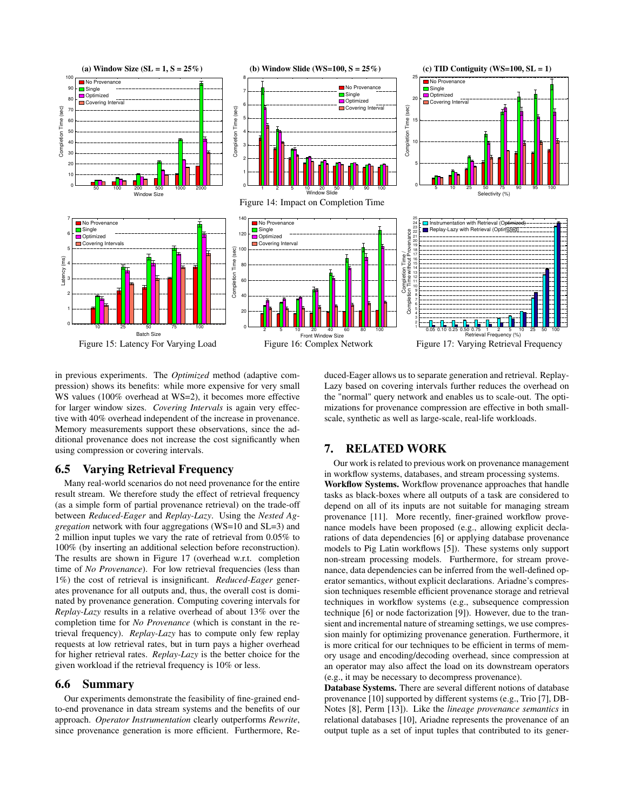

in previous experiments. The *Optimized* method (adaptive compression) shows its benefits: while more expensive for very small WS values (100% overhead at WS=2), it becomes more effective for larger window sizes. *Covering Intervals* is again very effective with 40% overhead independent of the increase in provenance. Memory measurements support these observations, since the additional provenance does not increase the cost significantly when using compression or covering intervals.

#### 6.5 Varying Retrieval Frequency

Many real-world scenarios do not need provenance for the entire result stream. We therefore study the effect of retrieval frequency (as a simple form of partial provenance retrieval) on the trade-off between *Reduced-Eager* and *Replay-Lazy*. Using the *Nested Aggregation* network with four aggregations (WS=10 and SL=3) and 2 million input tuples we vary the rate of retrieval from 0.05% to 100% (by inserting an additional selection before reconstruction). The results are shown in Figure 17 (overhead w.r.t. completion time of *No Provenance*). For low retrieval frequencies (less than 1%) the cost of retrieval is insignificant. *Reduced-Eager* generates provenance for all outputs and, thus, the overall cost is dominated by provenance generation. Computing covering intervals for *Replay-Lazy* results in a relative overhead of about 13% over the completion time for *No Provenance* (which is constant in the retrieval frequency). *Replay-Lazy* has to compute only few replay requests at low retrieval rates, but in turn pays a higher overhead for higher retrieval rates. *Replay-Lazy* is the better choice for the given workload if the retrieval frequency is 10% or less.

#### 6.6 Summary

Our experiments demonstrate the feasibility of fine-grained endto-end provenance in data stream systems and the benefits of our approach. *Operator Instrumentation* clearly outperforms *Rewrite*, since provenance generation is more efficient. Furthermore, Reduced-Eager allows us to separate generation and retrieval. Replay-Lazy based on covering intervals further reduces the overhead on the "normal" query network and enables us to scale-out. The optimizations for provenance compression are effective in both smallscale, synthetic as well as large-scale, real-life workloads.

## 7. RELATED WORK

Our work is related to previous work on provenance management in workflow systems, databases, and stream processing systems. Workflow Systems. Workflow provenance approaches that handle tasks as black-boxes where all outputs of a task are considered to depend on all of its inputs are not suitable for managing stream provenance [11]. More recently, finer-grained workflow provenance models have been proposed (e.g., allowing explicit declarations of data dependencies [6] or applying database provenance models to Pig Latin workflows [5]). These systems only support non-stream processing models. Furthermore, for stream provenance, data dependencies can be inferred from the well-defined operator semantics, without explicit declarations. Ariadne's compression techniques resemble efficient provenance storage and retrieval techniques in workflow systems (e.g., subsequence compression technique [6] or node factorization [9]). However, due to the transient and incremental nature of streaming settings, we use compression mainly for optimizing provenance generation. Furthermore, it is more critical for our techniques to be efficient in terms of memory usage and encoding/decoding overhead, since compression at an operator may also affect the load on its downstream operators (e.g., it may be necessary to decompress provenance).

Database Systems. There are several different notions of database provenance [10] supported by different systems (e.g., Trio [7], DB-Notes [8], Perm [13]). Like the *lineage provenance semantics* in relational databases [10], Ariadne represents the provenance of an output tuple as a set of input tuples that contributed to its gener